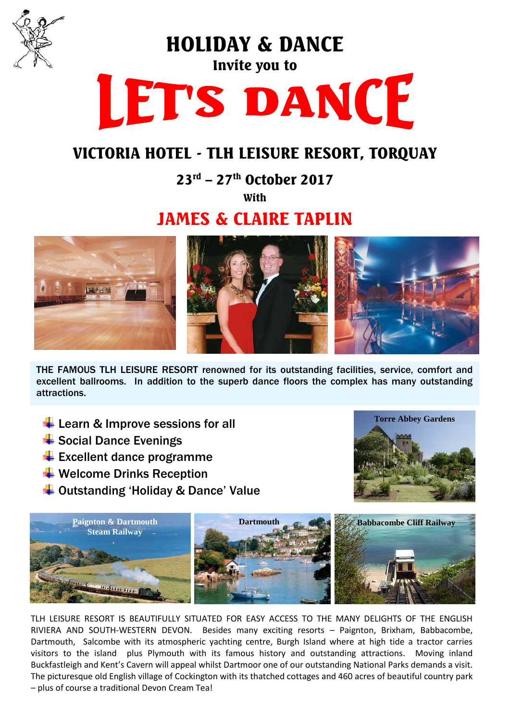

HOLIDAY & DANCE

# Invite you to LET'S DANCE

## VICTORIA HOTEL - TLH LEISURE RESORT, TORQUAY

23rd – 27th October 2017

**With** 

## JAMES & CLAIRE TAPLIN



THE FAMOUS TLH LEISURE RESORT renowned for its outstanding facilities, service, comfort and excellent ballrooms. In addition to the superb dance floors the complex has many outstanding attractions.

- $\overline{\text{L}}$  Learn & Improve sessions for all
- $\ddot$  Social Dance Evenings
- $\big\downarrow$  Excellent dance programme
- $\bigstar$  Welcome Drinks Reception
- **↓** Outstanding 'Holiday & Dance' Value





TLH LEISURE RESORT IS BEAUTIFULLY SITUATED FOR EASY ACCESS TO THE MANY DELIGHTS OF THE ENGLISH RIVIERA AND SOUTH-WESTERN DEVON. Besides many exciting resorts – Paignton, Brixham, Babbacombe, Dartmouth, Salcombe with its atmospheric yachting centre, Burgh Island where at high tide a tractor carries visitors to the island plus Plymouth with its famous history and outstanding attractions. Moving inland Buckfastleigh and Kent's Cavern will appeal whilst Dartmoor one of our outstanding National Parks demands a visit. The picturesque old English village of Cockington with its thatched cottages and 460 acres of beautiful country park – plus of course a traditional Devon Cream Tea!